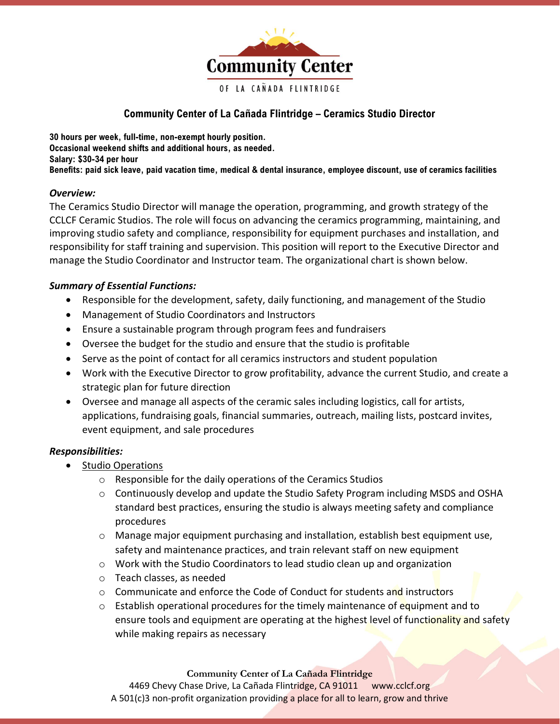

# Community Center of La Cañada Flintridge – Ceramics Studio Director

30 hours per week, full-time, non-exempt hourly position. Occasional weekend shifts and additional hours, as needed. Salary: \$30-34 per hour Benefits: paid sick leave, paid vacation time, medical & dental insurance, employee discount, use of ceramics facilities

# Overview:

The Ceramics Studio Director will manage the operation, programming, and growth strategy of the CCLCF Ceramic Studios. The role will focus on advancing the ceramics programming, maintaining, and improving studio safety and compliance, responsibility for equipment purchases and installation, and responsibility for staff training and supervision. This position will report to the Executive Director and manage the Studio Coordinator and Instructor team. The organizational chart is shown below.

# Summary of Essential Functions:

- Responsible for the development, safety, daily functioning, and management of the Studio
- Management of Studio Coordinators and Instructors
- Ensure a sustainable program through program fees and fundraisers
- Oversee the budget for the studio and ensure that the studio is profitable
- Serve as the point of contact for all ceramics instructors and student population
- Work with the Executive Director to grow profitability, advance the current Studio, and create a strategic plan for future direction
- Oversee and manage all aspects of the ceramic sales including logistics, call for artists, applications, fundraising goals, financial summaries, outreach, mailing lists, postcard invites, event equipment, and sale procedures

# Responsibilities:

- Studio Operations
	- o Responsible for the daily operations of the Ceramics Studios
	- $\circ$  Continuously develop and update the Studio Safety Program including MSDS and OSHA standard best practices, ensuring the studio is always meeting safety and compliance procedures
	- o Manage major equipment purchasing and installation, establish best equipment use, safety and maintenance practices, and train relevant staff on new equipment
	- $\circ$  Work with the Studio Coordinators to lead studio clean up and organization
	- o Teach classes, as needed
	- $\circ$  Communicate and enforce the Code of Conduct for students and instructors
	- $\circ$  Establish operational procedures for the timely maintenance of equipment and to ensure tools and equipment are operating at the highest level of functionality and safety while making repairs as necessary

Community Center of La Cañada Flintridge

4469 Chevy Chase Drive, La Cañada Flintridge, CA 91011 www.cclcf.org A 501(c)3 non-profit organization providing a place for all to learn, grow and thrive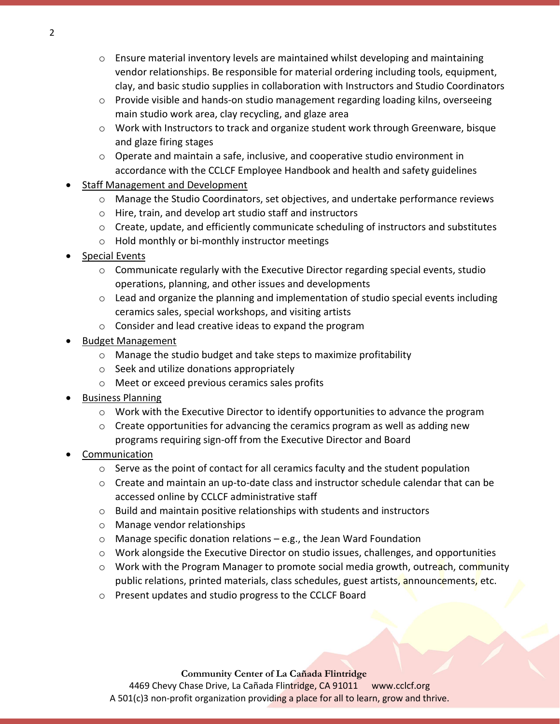- $\circ$  Ensure material inventory levels are maintained whilst developing and maintaining vendor relationships. Be responsible for material ordering including tools, equipment, clay, and basic studio supplies in collaboration with Instructors and Studio Coordinators
- o Provide visible and hands-on studio management regarding loading kilns, overseeing main studio work area, clay recycling, and glaze area
- o Work with Instructors to track and organize student work through Greenware, bisque and glaze firing stages
- $\circ$  Operate and maintain a safe, inclusive, and cooperative studio environment in accordance with the CCLCF Employee Handbook and health and safety guidelines
- Staff Management and Development
	- o Manage the Studio Coordinators, set objectives, and undertake performance reviews
	- o Hire, train, and develop art studio staff and instructors
	- $\circ$  Create, update, and efficiently communicate scheduling of instructors and substitutes
	- o Hold monthly or bi-monthly instructor meetings
- Special Events
	- $\circ$  Communicate regularly with the Executive Director regarding special events, studio operations, planning, and other issues and developments
	- $\circ$  Lead and organize the planning and implementation of studio special events including ceramics sales, special workshops, and visiting artists
	- o Consider and lead creative ideas to expand the program
- Budget Management
	- o Manage the studio budget and take steps to maximize profitability
	- o Seek and utilize donations appropriately
	- o Meet or exceed previous ceramics sales profits
- Business Planning
	- $\circ$  Work with the Executive Director to identify opportunities to advance the program
	- $\circ$  Create opportunities for advancing the ceramics program as well as adding new programs requiring sign-off from the Executive Director and Board
- Communication
	- $\circ$  Serve as the point of contact for all ceramics faculty and the student population
	- o Create and maintain an up-to-date class and instructor schedule calendar that can be accessed online by CCLCF administrative staff
	- o Build and maintain positive relationships with students and instructors
	- o Manage vendor relationships
	- $\circ$  Manage specific donation relations e.g., the Jean Ward Foundation
	- o Work alongside the Executive Director on studio issues, challenges, and opportunities
	- o Work with the Program Manager to promote social media growth, outreach, community public relations, printed materials, class schedules, guest artists, announcements, etc.
	- o Present updates and studio progress to the CCLCF Board

Community Center of La Cañada Flintridge 4469 Chevy Chase Drive, La Cañada Flintridge, CA 91011 www.cclcf.org A 501(c)3 non-profit organization providing a place for all to learn, grow and thrive.